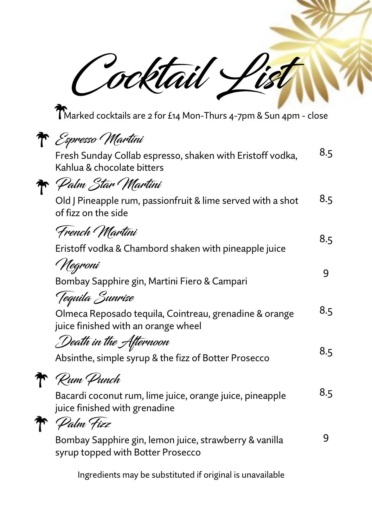Cocktail Li

Marked cocktails are 2 for £14 Mon-Thurs 4-7pm & Sun 4pm - close

|  | R Espresso (Martini                                                                           |     |
|--|-----------------------------------------------------------------------------------------------|-----|
|  | Fresh Sunday Collab espresso, shaken with Eristoff vodka,<br>Kahlua & chocolate bitters       | 8.5 |
|  | <del>7a</del> ' <i>Pa</i> lm Star (Martini                                                    |     |
|  | Old J Pineapple rum, passionfruit & lime served with a shot<br>of fizz on the side            | 8.5 |
|  | French Martini                                                                                | 8.5 |
|  | Eristoff vodka & Chambord shaken with pineapple juice                                         |     |
|  | ' Negroni                                                                                     |     |
|  | Bombay Sapphire gin, Martini Fiero & Campari                                                  | 9   |
|  | Tequila Sunrise                                                                               |     |
|  | Olmeca Reposado tequila, Cointreau, grenadine & orange<br>juice finished with an orange wheel | 8.5 |
|  | Death in the Afternoon                                                                        | 8.5 |
|  | Absinthe, simple syrup & the fizz of Botter Prosecco                                          |     |
|  | $\curvearrowleft$ Rum Punch                                                                   |     |
|  | Bacardi coconut rum, lime juice, orange juice, pineapple<br>juice finished with grenadine     | 8.5 |
|  | Palm Fizz                                                                                     |     |
|  | Bombay Sapphire gin, lemon juice, strawberry & vanilla<br>syrup topped with Botter Prosecco   | 9   |
|  |                                                                                               |     |

Ingredients may be substituted if original is unavailable